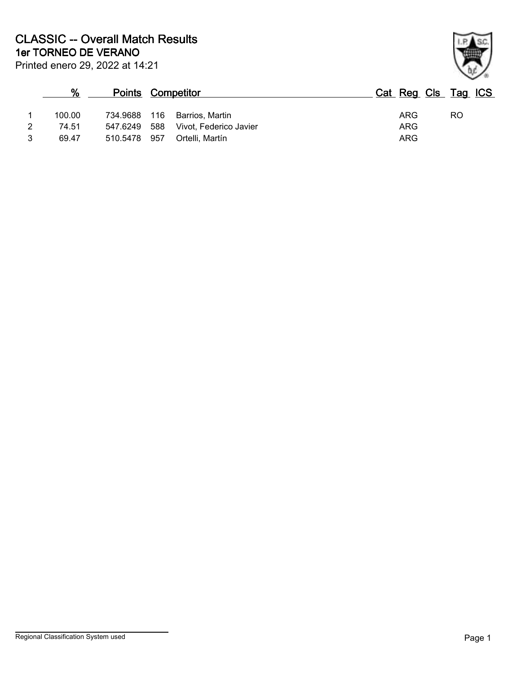|   | $\%$   | <b>Points Competitor</b> |                              | Cat Reg Cls Tag ICS |    |
|---|--------|--------------------------|------------------------------|---------------------|----|
|   | 100.00 |                          | 734.9688 116 Barrios, Martin | ARG                 | RO |
| 2 | 74.51  | 547.6249 588             | Vivot, Federico Javier       | ARG                 |    |
|   | 69.47  | 510.5478 957             | Ortelli. Martín              | ARG                 |    |

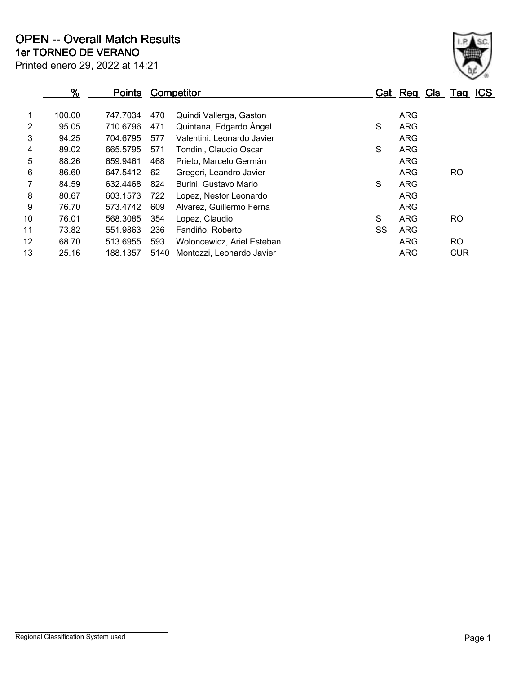|                | $\frac{9}{6}$ | <b>Points</b> |      | <b>Competitor</b>          |    | Cat Reg Cls Tag |            | <b>ICS</b> |
|----------------|---------------|---------------|------|----------------------------|----|-----------------|------------|------------|
| 1              | 100.00        | 747.7034      | 470  | Quindi Vallerga, Gaston    |    | <b>ARG</b>      |            |            |
| $\overline{2}$ | 95.05         | 710.6796      | 471  | Quintana, Edgardo Ángel    | S  | <b>ARG</b>      |            |            |
| 3              | 94.25         | 704.6795      | 577  | Valentini, Leonardo Javier |    | <b>ARG</b>      |            |            |
| 4              | 89.02         | 665.5795      | 571  | Tondini, Claudio Oscar     | S  | <b>ARG</b>      |            |            |
| 5              | 88.26         | 659.9461      | 468  | Prieto, Marcelo Germán     |    | <b>ARG</b>      |            |            |
| 6              | 86.60         | 647.5412      | 62   | Gregori, Leandro Javier    |    | <b>ARG</b>      | <b>RO</b>  |            |
| $\mathbf{7}$   | 84.59         | 632.4468      | 824  | Burini, Gustavo Mario      | S  | <b>ARG</b>      |            |            |
| 8              | 80.67         | 603.1573      | 722  | Lopez, Nestor Leonardo     |    | <b>ARG</b>      |            |            |
| 9              | 76.70         | 573.4742      | 609  | Alvarez, Guillermo Ferna   |    | <b>ARG</b>      |            |            |
| 10             | 76.01         | 568.3085      | 354  | Lopez, Claudio             | S  | <b>ARG</b>      | <b>RO</b>  |            |
| 11             | 73.82         | 551.9863      | 236  | Fandiño, Roberto           | SS | <b>ARG</b>      |            |            |
| 12             | 68.70         | 513.6955      | 593  | Woloncewicz, Ariel Esteban |    | <b>ARG</b>      | RO.        |            |
| 13             | 25.16         | 188.1357      | 5140 | Montozzi, Leonardo Javier  |    | <b>ARG</b>      | <b>CUR</b> |            |
|                |               |               |      |                            |    |                 |            |            |

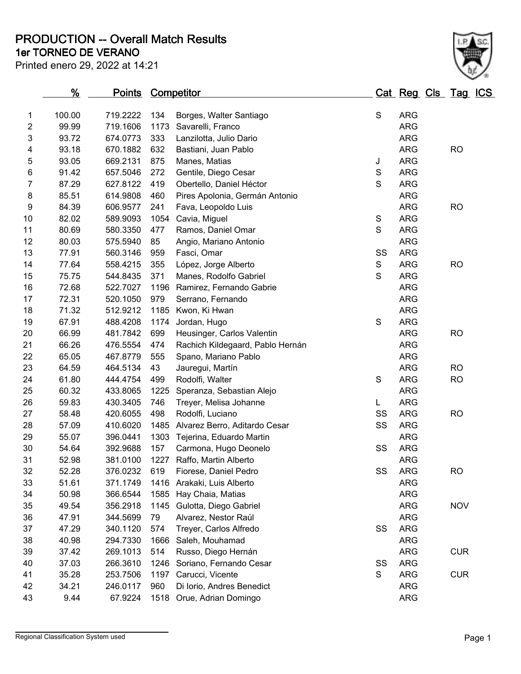**1er TORNEO DE VERANO PRODUCTION -- Overall Match Results**

Printed enero 29, 2022 at 14:21



|    | %      | <u>Points</u> |      | <b>Competitor</b>                |             | Cat Reg Cls Tag ICS |            |  |
|----|--------|---------------|------|----------------------------------|-------------|---------------------|------------|--|
| 1  | 100.00 | 719.2222      | 134  | Borges, Walter Santiago          | $\mathsf S$ | <b>ARG</b>          |            |  |
| 2  | 99.99  | 719.1606      | 1173 | Savarelli, Franco                |             | <b>ARG</b>          |            |  |
| 3  | 93.72  | 674.0773      | 333  | Lanzilotta, Julio Dario          |             | <b>ARG</b>          |            |  |
| 4  | 93.18  | 670.1882      | 632  | Bastiani, Juan Pablo             |             | <b>ARG</b>          | <b>RO</b>  |  |
| 5  | 93.05  | 669.2131      | 875  | Manes, Matias                    | J           | <b>ARG</b>          |            |  |
| 6  | 91.42  | 657.5046      | 272  | Gentile, Diego Cesar             | S           | <b>ARG</b>          |            |  |
| 7  | 87.29  | 627.8122      | 419  | Obertello, Daniel Héctor         | $\mathbf S$ | <b>ARG</b>          |            |  |
| 8  | 85.51  | 614.9808      | 460  | Pires Apolonia, Germán Antonio   |             | <b>ARG</b>          |            |  |
| 9  | 84.39  | 606.9577      | 241  | Fava, Leopoldo Luis              |             | <b>ARG</b>          | <b>RO</b>  |  |
| 10 | 82.02  | 589.9093      | 1054 | Cavia, Miguel                    | S           | <b>ARG</b>          |            |  |
| 11 | 80.69  | 580.3350      | 477  | Ramos, Daniel Omar               | S           | <b>ARG</b>          |            |  |
| 12 | 80.03  | 575.5940      | 85   | Angio, Mariano Antonio           |             | <b>ARG</b>          |            |  |
| 13 | 77.91  | 560.3146      | 959  | Fasci, Omar                      | SS          | <b>ARG</b>          |            |  |
| 14 | 77.64  | 558.4215      | 355  | López, Jorge Alberto             | S           | <b>ARG</b>          | <b>RO</b>  |  |
| 15 | 75.75  | 544.8435      | 371  | Manes, Rodolfo Gabriel           | $\mathbf S$ | <b>ARG</b>          |            |  |
| 16 | 72.68  | 522.7027      | 1196 | Ramirez, Fernando Gabrie         |             | <b>ARG</b>          |            |  |
| 17 | 72.31  | 520.1050      | 979  | Serrano, Fernando                |             | <b>ARG</b>          |            |  |
| 18 | 71.32  | 512.9212      | 1185 | Kwon, Ki Hwan                    |             | <b>ARG</b>          |            |  |
| 19 | 67.91  | 488.4208      | 1174 | Jordan, Hugo                     | $\mathbf S$ | <b>ARG</b>          |            |  |
| 20 | 66.99  | 481.7842      | 699  | Heusinger, Carlos Valentin       |             | <b>ARG</b>          | <b>RO</b>  |  |
| 21 | 66.26  | 476.5554      | 474  | Rachich Kildegaard, Pablo Hernán |             | <b>ARG</b>          |            |  |
| 22 | 65.05  | 467.8779      | 555  | Spano, Mariano Pablo             |             | <b>ARG</b>          |            |  |
| 23 | 64.59  | 464.5134      | 43   | Jauregui, Martín                 |             | <b>ARG</b>          | <b>RO</b>  |  |
| 24 | 61.80  | 444.4754      | 499  | Rodolfi, Walter                  | S           | <b>ARG</b>          | <b>RO</b>  |  |
| 25 | 60.32  | 433.8065      | 1225 | Speranza, Sebastian Alejo        |             | <b>ARG</b>          |            |  |
| 26 | 59.83  | 430.3405      | 746  | Treyer, Melisa Johanne           | L.          | <b>ARG</b>          |            |  |
| 27 | 58.48  | 420.6055      | 498  | Rodolfi, Luciano                 | SS          | <b>ARG</b>          | <b>RO</b>  |  |
| 28 | 57.09  | 410.6020      | 1485 | Alvarez Berro, Aditardo Cesar    | SS          | <b>ARG</b>          |            |  |
| 29 | 55.07  | 396.0441      | 1303 | Tejerina, Eduardo Martin         |             | <b>ARG</b>          |            |  |
| 30 | 54.64  | 392.9688      | 157  | Carmona, Hugo Deonelo            | SS          | <b>ARG</b>          |            |  |
| 31 | 52.98  | 381.0100      |      | 1227 Raffo, Martin Alberto       |             | ARG                 |            |  |
| 32 | 52.28  | 376.0232      | 619  | Fiorese, Daniel Pedro            | SS          | ARG                 | <b>RO</b>  |  |
| 33 | 51.61  | 371.1749      | 1416 | Arakaki, Luis Alberto            |             | <b>ARG</b>          |            |  |
| 34 | 50.98  | 366.6544      | 1585 | Hay Chaia, Matias                |             | <b>ARG</b>          |            |  |
| 35 | 49.54  | 356.2918      | 1145 | Gulotta, Diego Gabriel           |             | <b>ARG</b>          | <b>NOV</b> |  |
| 36 | 47.91  | 344.5699      | 79   | Alvarez, Nestor Raúl             |             | <b>ARG</b>          |            |  |
| 37 | 47.29  | 340.1120      | 574  | Treyer, Carlos Alfredo           | SS          | <b>ARG</b>          |            |  |
| 38 | 40.98  | 294.7330      | 1666 | Saleh, Mouhamad                  |             | <b>ARG</b>          |            |  |
| 39 | 37.42  | 269.1013      | 514  | Russo, Diego Hernán              |             | <b>ARG</b>          | <b>CUR</b> |  |
| 40 | 37.03  | 266.3610      | 1246 | Soriano, Fernando Cesar          | SS          | <b>ARG</b>          |            |  |
| 41 | 35.28  | 253.7506      | 1197 | Carucci, Vicente                 | S           | <b>ARG</b>          | <b>CUR</b> |  |
| 42 | 34.21  | 246.0117      | 960  | Di Iorio, Andres Benedict        |             | <b>ARG</b>          |            |  |
| 43 | 9.44   | 67.9224       |      | 1518 Orue, Adrian Domingo        |             | <b>ARG</b>          |            |  |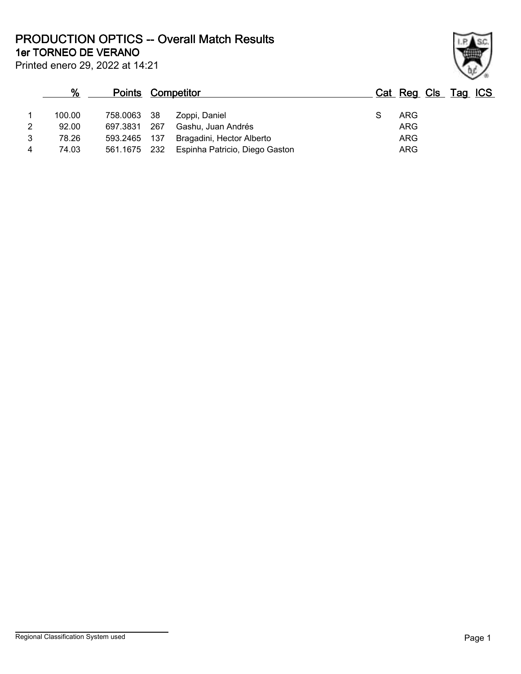**1er TORNEO DE VERANO PRODUCTION OPTICS -- Overall Match Results**

Printed enero 29, 2022 at 14:21

#### **% Points Competitor Cat Reg Cls Tag ICS**  $\frac{1}{1}$ 1 100.00 758.0063 38 Zoppi, Daniel S ARG 2 92.00 697.3831 267 Gashu, Juan Andrés ARG 3 78.26 593.2465 137 Bragadini, Hector Alberto **ARG** 4 74.03 561.1675 232 Espinha Patricio, Diego Gaston ARG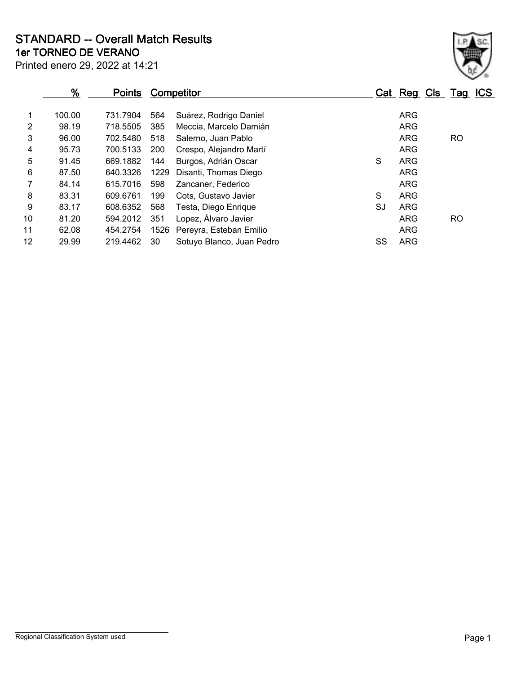**1er TORNEO DE VERANO STANDARD -- Overall Match Results**

Printed enero 29, 2022 at 14:21

|                | $\frac{9}{6}$ | <b>Points</b> |      | <b>Competitor</b>         |    | Cat Reg Cls Tag ICS |     |
|----------------|---------------|---------------|------|---------------------------|----|---------------------|-----|
|                | 100.00        | 731.7904      | 564  | Suárez, Rodrigo Daniel    |    | <b>ARG</b>          |     |
| $\overline{2}$ | 98.19         | 718.5505      | 385  | Meccia, Marcelo Damián    |    | <b>ARG</b>          |     |
| 3              | 96.00         | 702.5480      | 518  | Salerno, Juan Pablo       |    | ARG                 | RO. |
| 4              | 95.73         | 700.5133      | 200  | Crespo, Alejandro Martí   |    | <b>ARG</b>          |     |
| 5              | 91.45         | 669.1882      | 144  | Burgos, Adrián Oscar      | S  | <b>ARG</b>          |     |
| 6              | 87.50         | 640.3326      | 1229 | Disanti, Thomas Diego     |    | <b>ARG</b>          |     |
| 7              | 84.14         | 615.7016      | 598  | Zancaner, Federico        |    | <b>ARG</b>          |     |
| 8              | 83.31         | 609.6761      | 199  | Cots, Gustavo Javier      | S  | <b>ARG</b>          |     |
| 9              | 83.17         | 608.6352      | 568  | Testa, Diego Enrique      | SJ | ARG                 |     |
| 10             | 81.20         | 594.2012      | 351  | Lopez, Álvaro Javier      |    | ARG                 | RO. |
| 11             | 62.08         | 454.2754      | 1526 | Pereyra, Esteban Emilio   |    | <b>ARG</b>          |     |
| 12             | 29.99         | 219.4462      | 30   | Sotuyo Blanco, Juan Pedro | SS | ARG                 |     |
|                |               |               |      |                           |    |                     |     |